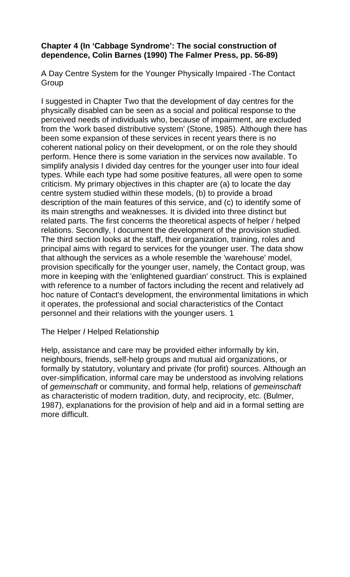# **Chapter 4 (In 'Cabbage Syndrome': The social construction of dependence, Colin Barnes (1990) The Falmer Press, pp. 56-89)**

A Day Centre System for the Younger Physically Impaired -The Contact **Group** 

I suggested in Chapter Two that the development of day centres for the physically disabled can be seen as a social and political response to the perceived needs of individuals who, because of impairment, are excluded from the 'work based distributive system' (Stone, 1985). Although there has been some expansion of these services in recent years there is no coherent national policy on their development, or on the role they should perform. Hence there is some variation in the services now available. To simplify analysis I divided day centres for the younger user into four ideal types. While each type had some positive features, all were open to some criticism. My primary objectives in this chapter are (a) to locate the day centre system studied within these models, (b) to provide a broad description of the main features of this service, and (c) to identify some of its main strengths and weaknesses. It is divided into three distinct but related parts. The first concerns the theoretical aspects of helper / helped relations. Secondly, I document the development of the provision studied. The third section looks at the staff, their organization, training, roles and principal aims with regard to services for the younger user. The data show that although the services as a whole resemble the 'warehouse' model, provision specifically for the younger user, namely, the Contact group, was more in keeping with the 'enlightened guardian' construct. This is explained with reference to a number of factors including the recent and relatively ad hoc nature of Contact's development, the environmental limitations in which it operates, the professional and social characteristics of the Contact personnel and their relations with the younger users. 1

#### The Helper *I* Helped Relationship

Help, assistance and care may be provided either informally by kin, neighbours, friends, self-help groups and mutual aid organizations, or formally by statutory, voluntary and private (for profit) sources. Although an over-simplification, informal care may be understood as involving relations of *gemeinschaft* or community, and formal help, relations of *gemeinschaft*  as characteristic of modern tradition, duty, and reciprocity, etc. (Bulmer, 1987), explanations for the provision of help and aid in a formal setting are more difficult.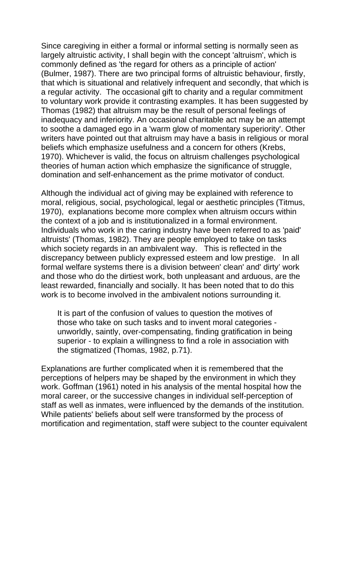Since caregiving in either a formal or informal setting is normally seen as largely altruistic activity, I shall begin with the concept 'altruism', which is commonly defined as 'the regard for others as a principle of action' (Bulmer, 1987). There are two principal forms of altruistic behaviour, firstly, that which is situational and relatively infrequent and secondly, that which is a regular activity. The occasional gift to charity and a regular commitment to voluntary work provide it contrasting examples. It has been suggested by Thomas (1982) that altruism may be the result of personal feelings of inadequacy and inferiority. An occasional charitable act may be an attempt to soothe a damaged ego in a 'warm glow of momentary superiority'. Other writers have pointed out that altruism may have a basis in religious or moral beliefs which emphasize usefulness and a concern for others (Krebs, 1970). Whichever is valid, the focus on altruism challenges psychological theories of human action which emphasize the significance of struggle, domination and self-enhancement as the prime motivator of conduct.

Although the individual act of giving may be explained with reference to moral, religious, social, psychological, legal or aesthetic principles (Titmus, 1970), explanations become more complex when altruism occurs within the context of a job and is institutionalized in a formal environment. Individuals who work in the caring industry have been referred to as 'paid' altruists' (Thomas, 1982). They are people employed to take on tasks which society regards in an ambivalent way. This is reflected in the discrepancy between publicly expressed esteem and low prestige. In all formal welfare systems there is a division between' clean' and' dirty' work and those who do the dirtiest work, both unpleasant and arduous, are the least rewarded, financially and socially. It has been noted that to do this work is to become involved in the ambivalent notions surrounding it.

It is part of the confusion of values to question the motives of those who take on such tasks and to invent moral categories unworldly, saintly, over-compensating, finding gratification in being superior - to explain a willingness to find a role in association with the stigmatized (Thomas, 1982, p.71).

Explanations are further complicated when it is remembered that the perceptions of helpers may be shaped by the environment in which they work. Goffman (1961) noted in his analysis of the mental hospital how the moral career, or the successive changes in individual self-perception of staff as well as inmates, were influenced by the demands of the institution. While patients' beliefs about self were transformed by the process of mortification and regimentation, staff were subject to the counter equivalent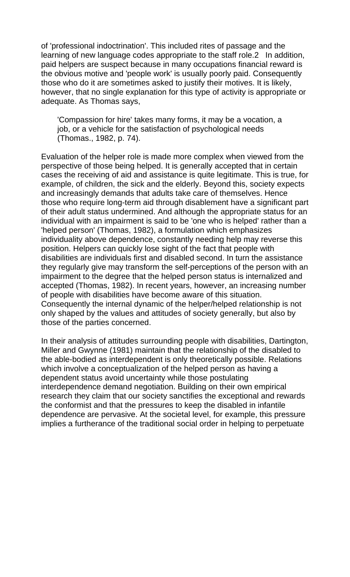of 'professional indoctrination'. This included rites of passage and the learning of new language codes appropriate to the staff role.2 In addition, paid helpers are suspect because in many occupations financial reward is the obvious motive and 'people work' is usually poorly paid. Consequently those who do it are sometimes asked to justify their motives. It is likely, however, that no single explanation for this type of activity is appropriate or adequate. As Thomas says,

'Compassion for hire' takes many forms, it may be a vocation, a job, or a vehicle for the satisfaction of psychological needs (Thomas., 1982, p. 74).

Evaluation of the helper role is made more complex when viewed from the perspective of those being helped. It is generally accepted that in certain cases the receiving of aid and assistance is quite legitimate. This is true, for example, of children, the sick and the elderly. Beyond this, society expects and increasingly demands that adults take care of themselves. Hence those who require long-term aid through disablement have a significant part of their adult status undermined. And although the appropriate status for an individual with an impairment is said to be 'one who is helped' rather than a 'helped person' (Thomas, 1982), a formulation which emphasizes individuality above dependence, constantly needing help may reverse this position. Helpers can quickly lose sight of the fact that people with disabilities are individuals first and disabled second. In turn the assistance they regularly give may transform the self-perceptions of the person with an impairment to the degree that the helped person status is internalized and accepted (Thomas, 1982). In recent years, however, an increasing number of people with disabilities have become aware of this situation. Consequently the internal dynamic of the helper/helped relationship is not only shaped by the values and attitudes of society generally, but also by those of the parties concerned.

In their analysis of attitudes surrounding people with disabilities, Dartington, Miller and Gwynne (1981) maintain that the relationship of the disabled to the able-bodied as interdependent is only theoretically possible. Relations which involve a conceptualization of the helped person as having a dependent status avoid uncertainty while those postulating interdependence demand negotiation. Building on their own empirical research they claim that our society sanctifies the exceptional and rewards the conformist and that the pressures to keep the disabled in infantile dependence are pervasive. At the societal level, for example, this pressure implies a furtherance of the traditional social order in helping to perpetuate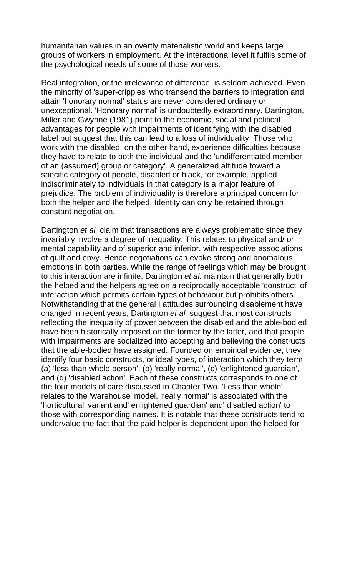humanitarian values in an overtly materialistic world and keeps large groups of workers in employment. At the interactional level it fulfils some of the psychological needs of some of those workers.

Real integration, or the irrelevance of difference, is seldom achieved. Even the minority of 'super-cripples' who transend the barriers to integration and attain 'honorary normal' status are never considered ordinary or unexceptional. 'Honorary normal' is undoubtedly extraordinary. Dartington, Miller and Gwynne (1981) point to the economic, social and political advantages for people with impairments of identifying with the disabled label but suggest that this can lead to a loss of individuality. Those who work with the disabled, on the other hand, experience difficulties because they have to relate to both the individual and the 'undifferentiated member of an (assumed) group or category'. A generalized attitude toward a specific category of people, disabled or black, for example, applied indiscriminately to individuals in that category is a major feature of prejudice. The problem of individuality is therefore a principal concern for both the helper and the helped. Identity can only be retained through constant negotiation.

Dartington *et al.* claim that transactions are always problematic since they invariably involve a degree of inequality. This relates to physical and/ or mental capability and of superior and inferior, with respective associations of guilt and envy. Hence negotiations can evoke strong and anomalous emotions in both parties. While the range of feelings which may be brought to this interaction are infinite, Dartington *et al.* maintain that generally both the helped and the helpers agree on a reciprocally acceptable 'construct' of interaction which permits certain types of behaviour but prohibits others. Notwithstanding that the general I attitudes surrounding disablement have changed in recent years, Dartington *et al.* suggest that most constructs reflecting the inequality of power between the disabled and the able-bodied have been historically imposed on the former by the latter, and that people with impairments are socialized into accepting and believing the constructs that the able-bodied have assigned. Founded on empirical evidence, they identify four basic constructs, or ideal types, of interaction which they term (a) 'less than whole person', (b) 'really normal', (c) 'enlightened guardian', and (d) 'disabled action'. Each of these constructs corresponds to one of the four models of care discussed in Chapter Two. 'Less than whole' relates to the 'warehouse' model, 'really normal' is associated with the 'horticultural' variant and' enlightened guardian' and' disabled action' to those with corresponding names. It is notable that these constructs tend to undervalue the fact that the paid helper is dependent upon the helped for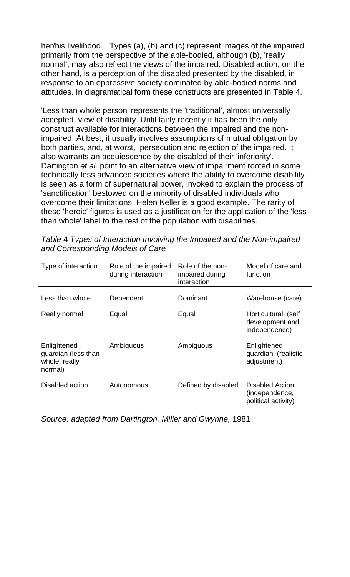her/his livelihood. Types (a), (b) and (c) represent images of the impaired primarily from the perspective of the able-bodied, although (b), 'really normal', may also reflect the views of the impaired. Disabled action, on the other hand, is a perception of the disabled presented by the disabled, in response to an oppressive society dominated by able-bodied norms and attitudes. In diagramatical form these constructs are presented in Table 4.

'Less than whole person' represents the 'traditional', almost universally accepted, view of disability. Until fairly recently it has been the only construct available for interactions between the impaired and the nonimpaired. At best, it usually involves assumptions of mutual obligation by both parties, and, at worst, persecution and rejection of the impaired. It also warrants an acquiescence by the disabled of their 'inferiority'. Dartington *et al.* point to an alternative view of impairment rooted in some technically less advanced societies where the ability to overcome disability is seen as a form of supernatural power, invoked to explain the process of 'sanctification' bestowed on the minority of disabled individuals who overcome their limitations. Helen Keller is a good example. The rarity of these 'heroic' figures is used as a justification for the application of the 'less than whole' label to the rest of the population with disabilities.

| Type of interaction                                            | Role of the impaired<br>during interaction | Role of the non-<br>impaired during<br>interaction |                                                           |
|----------------------------------------------------------------|--------------------------------------------|----------------------------------------------------|-----------------------------------------------------------|
| Less than whole                                                | Dependent                                  | Dominant                                           | Warehouse (care)                                          |
| Really normal                                                  | Equal                                      | Equal                                              | Horticultural, (self<br>development and<br>independence)  |
| Enlightened<br>guardian (less than<br>whole, really<br>normal) | Ambiguous                                  | Ambiguous                                          | Enlightened<br>guardian, (realistic<br>adjustment)        |
| Disabled action                                                | Autonomous                                 | Defined by disabled                                | Disabled Action,<br>(independence,<br>political activity) |

*Table* 4 *Types of Interaction Involving the Impaired and the Non-impaired and Corresponding Models of Care* 

*Source: adapted from Dartington, Miller and Gwynne,* 1981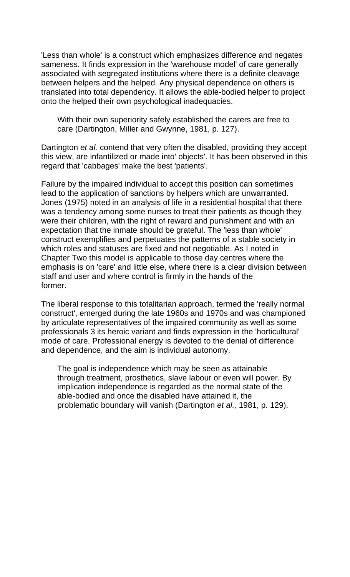'Less than whole' is a construct which emphasizes difference and negates sameness. It finds expression in the 'warehouse model' of care generally associated with segregated institutions where there is a definite cleavage between helpers and the helped. Any physical dependence on others is translated into total dependency. It allows the able-bodied helper to project onto the helped their own psychological inadequacies.

With their own superiority safely established the carers are free to care (Dartington, Miller and Gwynne, 1981, p. 127).

Dartington *et al.* contend that very often the disabled, providing they accept this view, are infantilized or made into' objects'. It has been observed in this regard that 'cabbages' make the best 'patients'.

Failure by the impaired individual to accept this position can sometimes lead to the application of sanctions by helpers which are unwarranted. Jones (1975) noted in an analysis of life in a residential hospital that there was a tendency among some nurses to treat their patients as though they were their children, with the right of reward and punishment and with an expectation that the inmate should be grateful. The 'less than whole' construct exemplifies and perpetuates the patterns of a stable society in which roles and statuses are fixed and not negotiable. As I noted in Chapter Two this model is applicable to those day centres where the emphasis is on 'care' and little else, where there is a clear division between staff and user and where control is firmly in the hands of the former.

The liberal response to this totalitarian approach, termed the 'really normal construct', emerged during the late 1960s and 1970s and was championed by articulate representatives of the impaired community as well as some professionals 3 its heroic variant and finds expression in the 'horticultural' mode of care. Professional energy is devoted to the denial of difference and dependence, and the aim is individual autonomy.

The goal is independence which may be seen as attainable through treatment, prosthetics, slave labour or even will power. By implication independence is regarded as the normal state of the able-bodied and once the disabled have attained it, the problematic boundary will vanish (Dartington *et al.,* 1981, p. 129).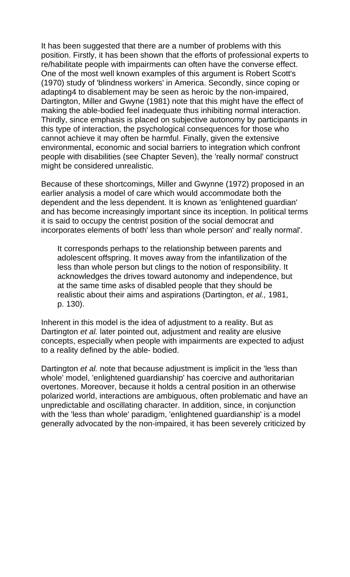It has been suggested that there are a number of problems with this position. Firstly, it has been shown that the efforts of professional experts to re/habilitate people with impairments can often have the converse effect. One of the most well known examples of this argument is Robert Scott's (1970) study of 'blindness workers' in America. Secondly, since coping or adapting4 to disablement may be seen as heroic by the non-impaired, Dartington, Miller and Gwyne (1981) note that this might have the effect of making the able-bodied feel inadequate thus inhibiting normal interaction. Thirdly, since emphasis is placed on subjective autonomy by participants in this type of interaction, the psychological consequences for those who cannot achieve it may often be harmful. Finally, given the extensive environmental, economic and social barriers to integration which confront people with disabilities (see Chapter Seven), the 'really normal' construct might be considered unrealistic.

Because of these shortcomings, Miller and Gwynne (1972) proposed in an earlier analysis a model of care which would accommodate both the dependent and the less dependent. It is known as 'enlightened guardian' and has become increasingly important since its inception. In political terms it is said to occupy the centrist position of the social democrat and incorporates elements of both' less than whole person' and' really normal'.

It corresponds perhaps to the relationship between parents and adolescent offspring. It moves away from the infantilization of the less than whole person but clings to the notion of responsibility. It acknowledges the drives toward autonomy and independence, but at the same time asks of disabled people that they should be realistic about their aims and aspirations (Dartington, *et al.,* 1981, p. 130).

Inherent in this model is the idea of adjustment to a reality. But as Dartington *et al.* later pointed out, adjustment and reality are elusive concepts, especially when people with impairments are expected to adjust to a reality defined by the able- bodied.

Dartington *et al.* note that because adjustment is implicit in the 'less than whole' model, 'enlightened guardianship' has coercive and authoritarian overtones. Moreover, because it holds a central position in an otherwise polarized world, interactions are ambiguous, often problematic and have an unpredictable and oscillating character. In addition, since, in conjunction with the 'less than whole' paradigm, 'enlightened guardianship' is a model generally advocated by the non-impaired, it has been severely criticized by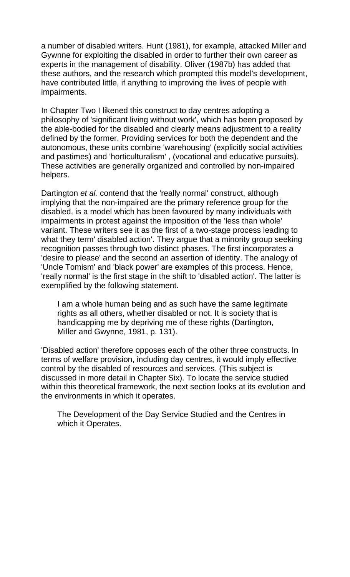a number of disabled writers. Hunt (1981), for example, attacked Miller and Gywnne for exploiting the disabled in order to further their own career as experts in the management of disability. Oliver (1987b) has added that these authors, and the research which prompted this model's development, have contributed little, if anything to improving the lives of people with impairments.

In Chapter Two I likened this construct to day centres adopting a philosophy of 'significant living without work', which has been proposed by the able-bodied for the disabled and clearly means adjustment to a reality defined by the former. Providing services for both the dependent and the autonomous, these units combine 'warehousing' (explicitly social activities and pastimes) and 'horticulturalism' , (vocational and educative pursuits). These activities are generally organized and controlled by non-impaired helpers.

Dartington *et al.* contend that the 'really normal' construct, although implying that the non-impaired are the primary reference group for the disabled, is a model which has been favoured by many individuals with impairments in protest against the imposition of the 'less than whole' variant. These writers see it as the first of a two-stage process leading to what they term' disabled action'. They argue that a minority group seeking recognition passes through two distinct phases. The first incorporates a 'desire to please' and the second an assertion of identity. The analogy of 'Uncle Tomism' and 'black power' are examples of this process. Hence, 'really normal' is the first stage in the shift to 'disabled action'. The latter is exemplified by the following statement.

I am a whole human being and as such have the same legitimate rights as all others, whether disabled or not. It is society that is handicapping me by depriving me of these rights (Dartington, Miller and Gwynne, 1981, p. 131).

'Disabled action' therefore opposes each of the other three constructs. In terms of welfare provision, including day centres, it would imply effective control by the disabled of resources and services. (This subject is discussed in more detail in Chapter Six). To locate the service studied within this theoretical framework, the next section looks at its evolution and the environments in which it operates.

The Development of the Day Service Studied and the Centres in which it Operates.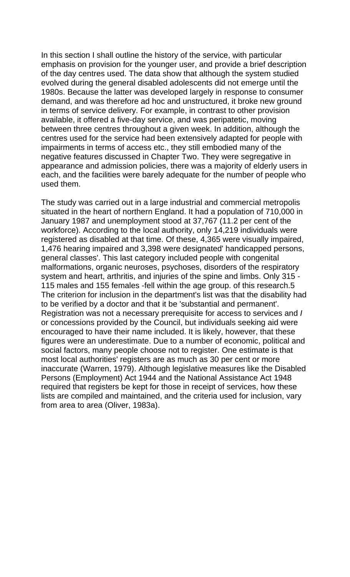In this section I shall outline the history of the service, with particular emphasis on provision for the younger user, and provide a brief description of the day centres used. The data show that although the system studied evolved during the general disabled adolescents did not emerge until the 1980s. Because the latter was developed largely in response to consumer demand, and was therefore ad hoc and unstructured, it broke new ground in terms of service delivery. For example, in contrast to other provision available, it offered a five-day service, and was peripatetic, moving between three centres throughout a given week. In addition, although the centres used for the service had been extensively adapted for people with impairments in terms of access etc., they still embodied many of the negative features discussed in Chapter Two. They were segregative in appearance and admission policies, there was a majority of elderly users in each, and the facilities were barely adequate for the number of people who used them.

The study was carried out in a large industrial and commercial metropolis situated in the heart of northern England. It had a population of 710,000 in January 1987 and unemployment stood at 37,767 (11.2 per cent of the workforce). According to the local authority, only 14,219 individuals were registered as disabled at that time. Of these, 4,365 were visually impaired, 1,476 hearing impaired and 3,398 were designated' handicapped persons, general classes'. This last category included people with congenital malformations, organic neuroses, psychoses, disorders of the respiratory system and heart, arthritis, and injuries of the spine and limbs. Only 315 - 115 males and 155 females -fell within the age group. of this research.5 The criterion for inclusion in the department's list was that the disability had to be verified by a doctor and that it be 'substantial and permanent'. Registration was not a necessary prerequisite for access to services and *I*  or concessions provided by the Council, but individuals seeking aid were encouraged to have their name included. It is likely, however, that these figures were an underestimate. Due to a number of economic, political and social factors, many people choose not to register. One estimate is that most local authorities' registers are as much as 30 per cent or more inaccurate (Warren, 1979). Although legislative measures like the Disabled Persons (Employment) Act 1944 and the National Assistance Act 1948 required that registers be kept for those in receipt of services, how these lists are compiled and maintained, and the criteria used for inclusion, vary from area to area (Oliver, 1983a).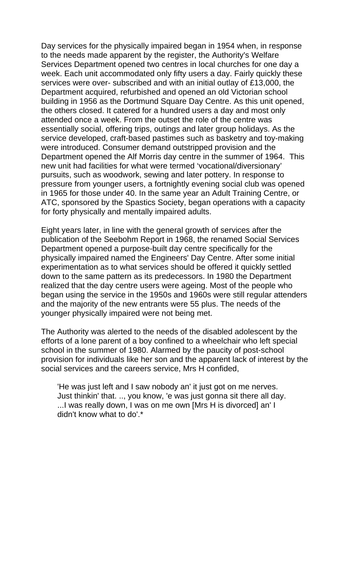Day services for the physically impaired began in 1954 when, in response to the needs made apparent by the register, the Authority's Welfare Services Department opened two centres in local churches for one day a week. Each unit accommodated only fifty users a day. Fairly quickly these services were over- subscribed and with an initial outlay of £13,000, the Department acquired, refurbished and opened an old Victorian school building in 1956 as the Dortmund Square Day Centre. As this unit opened, the others closed. It catered for a hundred users a day and most only attended once a week. From the outset the role of the centre was essentially social, offering trips, outings and later group holidays. As the service developed, craft-based pastimes such as basketry and toy-making were introduced. Consumer demand outstripped provision and the Department opened the Alf Morris day centre in the summer of 1964. This new unit had facilities for what were termed 'vocational/diversionary' pursuits, such as woodwork, sewing and later pottery. In response to pressure from younger users, a fortnightly evening social club was opened in 1965 for those under 40. In the same year an Adult Training Centre, or ATC, sponsored by the Spastics Society, began operations with a capacity for forty physically and mentally impaired adults.

Eight years later, in line with the general growth of services after the publication of the Seebohm Report in 1968, the renamed Social Services Department opened a purpose-built day centre specifically for the physically impaired named the Engineers' Day Centre. After some initial experimentation as to what services should be offered it quickly settled down to the same pattern as its predecessors. In 1980 the Department realized that the day centre users were ageing. Most of the people who began using the service in the 1950s and 1960s were still regular attenders and the majority of the new entrants were 55 plus. The needs of the younger physically impaired were not being met.

The Authority was alerted to the needs of the disabled adolescent by the efforts of a lone parent of a boy confined to a wheelchair who left special school in the summer of 1980. Alarmed by the paucity of post-school provision for individuals like her son and the apparent lack of interest by the social services and the careers service, Mrs H confided,

'He was just left and I saw nobody an' it just got on me nerves. Just thinkin' that. .., you know, 'e was just gonna sit there all day. ...I was really down, I was on me own [Mrs H is divorced] an' I didn't know what to do'.\*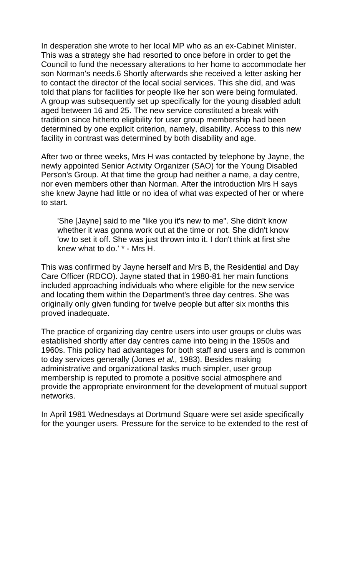In desperation she wrote to her local MP who as an ex-Cabinet Minister. This was a strategy she had resorted to once before in order to get the Council to fund the necessary alterations to her home to accommodate her son Norman's needs.6 Shortly afterwards she received a letter asking her to contact the director of the local social services. This she did, and was told that plans for facilities for people like her son were being formulated. A group was subsequently set up specifically for the young disabled adult aged between 16 and 25. The new service constituted a break with tradition since hitherto eligibility for user group membership had been determined by one explicit criterion, namely, disability. Access to this new facility in contrast was determined by both disability and age.

After two or three weeks, Mrs H was contacted by telephone by Jayne, the newly appointed Senior Activity Organizer (SAO) for the Young Disabled Person's Group. At that time the group had neither a name, a day centre, nor even members other than Norman. After the introduction Mrs H says she knew Jayne had little or no idea of what was expected of her or where to start.

'She [Jayne] said to me "like you it's new to me". She didn't know whether it was gonna work out at the time or not. She didn't know 'ow to set it off. She was just thrown into it. I don't think at first she knew what to do.' \* - Mrs H.

This was confirmed by Jayne herself and Mrs B, the Residential and Day Care Officer (RDCO). Jayne stated that in 1980-81 her main functions included approaching individuals who where eligible for the new service and locating them within the Department's three day centres. She was originally only given funding for twelve people but after six months this proved inadequate.

The practice of organizing day centre users into user groups or clubs was established shortly after day centres came into being in the 1950s and 1960s. This policy had advantages for both staff and users and is common to day services generally (Jones *et al.,* 1983). Besides making administrative and organizational tasks much simpler, user group membership is reputed to promote a positive social atmosphere and provide the appropriate environment for the development of mutual support networks.

In April 1981 Wednesdays at Dortmund Square were set aside specifically for the younger users. Pressure for the service to be extended to the rest of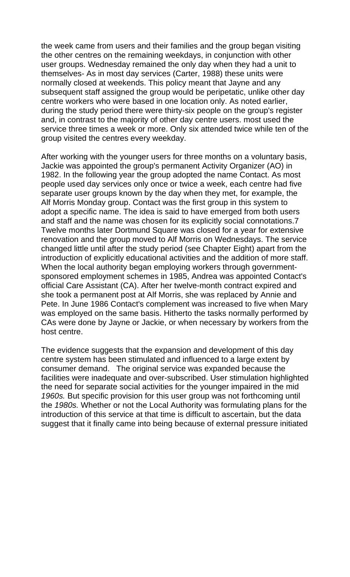the week came from users and their families and the group began visiting the other centres on the remaining weekdays, in conjunction with other user groups. Wednesday remained the only day when they had a unit to themselves- As in most day services (Carter, 1988) these units were normally closed at weekends. This policy meant that Jayne and any subsequent staff assigned the group would be peripetatic, unlike other day centre workers who were based in one location only. As noted earlier, during the study period there were thirty-six people on the group's register and, in contrast to the majority of other day centre users. most used the service three times a week or more. Only six attended twice while ten of the group visited the centres every weekday.

After working with the younger users for three months on a voluntary basis, Jackie was appointed the group's permanent Activity Organizer (AO) in 1982. In the following year the group adopted the name Contact. As most people used day services only once or twice a week, each centre had five separate user groups known by the day when they met, for example, the Alf Morris Monday group. Contact was the first group in this system to adopt a specific name. The idea is said to have emerged from both users and staff and the name was chosen for its explicitly social connotations.7 Twelve months later Dortmund Square was closed for a year for extensive renovation and the group moved to Alf Morris on Wednesdays. The service changed little until after the study period (see Chapter Eight) apart from the introduction of explicitly educational activities and the addition of more staff. When the local authority began employing workers through governmentsponsored employment schemes in 1985, Andrea was appointed Contact's official Care Assistant (CA). After her twelve-month contract expired and she took a permanent post at Alf Morris, she was replaced by Annie and Pete. In June 1986 Contact's complement was increased to five when Mary was employed on the same basis. Hitherto the tasks normally performed by CAs were done by Jayne or Jackie, or when necessary by workers from the host centre.

The evidence suggests that the expansion and development of this day centre system has been stimulated and influenced to a large extent by consumer demand. The original service was expanded because the facilities were inadequate and over-subscribed. User stimulation highlighted the need for separate social activities for the younger impaired in the mid *1960s.* But specific provision for this user group was not forthcoming until the *1980s.* Whether or not the Local Authority was formulating plans for the introduction of this service at that time is difficult to ascertain, but the data suggest that it finally came into being because of external pressure initiated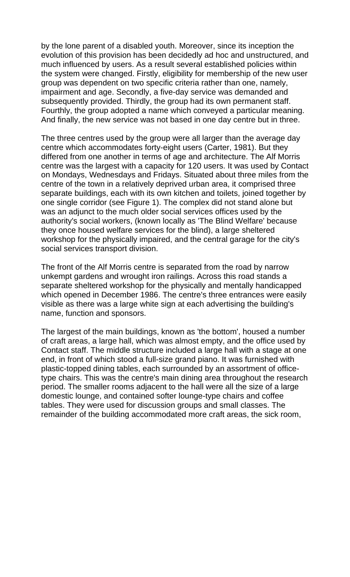by the lone parent of a disabled youth. Moreover, since its inception the evolution of this provision has been decidedly ad hoc and unstructured, and much influenced by users. As a result several established policies within the system were changed. Firstly, eligibility for membership of the new user group was dependent on two specific criteria rather than one, namely, impairment and age. Secondly, a five-day service was demanded and subsequently provided. Thirdly, the group had its own permanent staff. Fourthly, the group adopted a name which conveyed a particular meaning. And finally, the new service was not based in one day centre but in three.

The three centres used by the group were all larger than the average day centre which accommodates forty-eight users (Carter, 1981). But they differed from one another in terms of age and architecture. The Alf Morris centre was the largest with a capacity for 120 users. It was used by Contact on Mondays, Wednesdays and Fridays. Situated about three miles from the centre of the town in a relatively deprived urban area, it comprised three separate buildings, each with its own kitchen and toilets, joined together by one single corridor (see Figure 1). The complex did not stand alone but was an adjunct to the much older social services offices used by the authority's social workers, (known locally as 'The Blind Welfare' because they once housed welfare services for the blind), a large sheltered workshop for the physically impaired, and the central garage for the city's social services transport division.

The front of the Alf Morris centre is separated from the road by narrow unkempt gardens and wrought iron railings. Across this road stands a separate sheltered workshop for the physically and mentally handicapped which opened in December 1986. The centre's three entrances were easily visible as there was a large white sign at each advertising the building's name, function and sponsors.

The largest of the main buildings, known as 'the bottom', housed a number of craft areas, a large hall, which was almost empty, and the office used by Contact staff. The middle structure included a large hall with a stage at one end, in front of which stood a full-size grand piano. It was furnished with plastic-topped dining tables, each surrounded by an assortment of officetype chairs. This was the centre's main dining area throughout the research period. The smaller rooms adjacent to the hall were all the size of a large domestic lounge, and contained softer lounge-type chairs and coffee tables. They were used for discussion groups and small classes. The remainder of the building accommodated more craft areas, the sick room,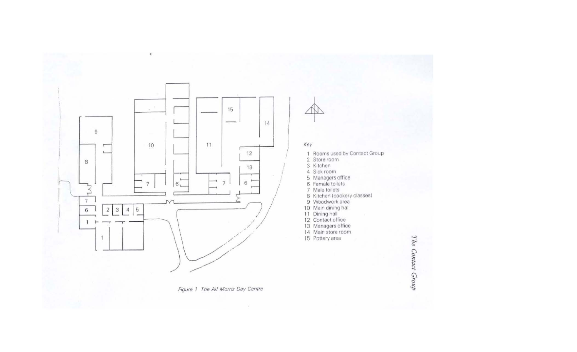

- 1 Rooms used by Contact Group
- 2 Store room<br>3 Kitchen
- 
- 
- 5 Managers office
- 6 Female toilets 7 Male toilets
- 8 Kitchen Icookery classesl
- 9 Woodwork area
- 
- 
- 
- 
-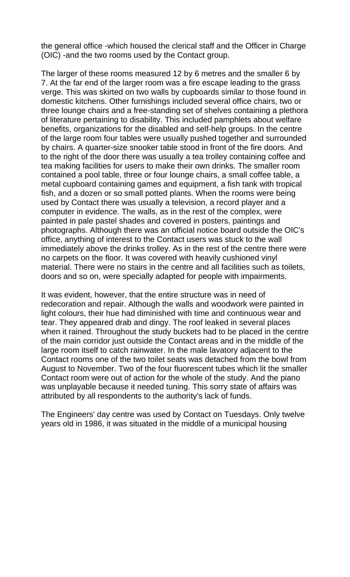the general office -which housed the clerical staff and the Officer in Charge (OIC) -and the two rooms used by the Contact group.

The larger of these rooms measured 12 by 6 metres and the smaller 6 by 7. At the far end of the larger room was a fire escape leading to the grass verge. This was skirted on two walls by cupboards similar to those found in domestic kitchens. Other furnishings included several office chairs, two or three lounge chairs and a free-standing set of shelves containing a plethora of literature pertaining to disability. This included pamphlets about welfare benefits, organizations for the disabled and self-help groups. In the centre of the large room four tables were usually pushed together and surrounded by chairs. A quarter-size snooker table stood in front of the fire doors. And to the right of the door there was usually a tea trolley containing coffee and tea making facilities for users to make their own drinks. The smaller room contained a pool table, three or four lounge chairs, a small coffee table, a metal cupboard containing games and equipment, a fish tank with tropical fish, and a dozen or so small potted plants. When the rooms were being used by Contact there was usually a television, a record player and a computer in evidence. The walls, as in the rest of the complex, were painted in pale pastel shades and covered in posters, paintings and photographs. Although there was an official notice board outside the OIC's office, anything of interest to the Contact users was stuck to the wall immediately above the drinks trolley. As in the rest of the centre there were no carpets on the floor. It was covered with heavily cushioned vinyl material. There were no stairs in the centre and all facilities such as toilets, doors and so on, were specially adapted for people with impairments.

It was evident, however, that the entire structure was in need of redecoration and repair. Although the walls and woodwork were painted in light colours, their hue had diminished with time and continuous wear and tear. They appeared drab and dingy. The roof leaked in several places when it rained. Throughout the study buckets had to be placed in the centre of the main corridor just outside the Contact areas and in the middle of the large room itself to catch rainwater. In the male lavatory adjacent to the Contact rooms one of the two toilet seats was detached from the bowl from August to November. Two of the four fluorescent tubes which lit the smaller Contact room were out of action for the whole of the study. And the piano was unplayable because it needed tuning. This sorry state of affairs was attributed by all respondents to the authority's lack of funds.

The Engineers' day centre was used by Contact on Tuesdays. Only twelve years old in 1986, it was situated in the middle of a municipal housing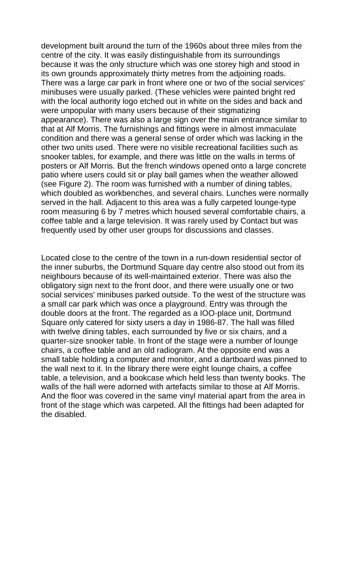development built around the turn of the 1960s about three miles from the centre of the city. It was easily distinguishable from its surroundings because it was the only structure which was one storey high and stood in its own grounds approximately thirty metres from the adjoining roads. There was a large car park in front where one or two of the social services' minibuses were usually parked. (These vehicles were painted bright red with the local authority logo etched out in white on the sides and back and were unpopular with many users because of their stigmatizing appearance). There was also a large sign over the main entrance similar to that at Alf Morris. The furnishings and fittings were in almost immaculate condition and there was a general sense of order which was lacking in the other two units used. There were no visible recreational facilities such as snooker tables, for example, and there was little on the walls in terms of posters or Alf Morris. But the french windows opened onto a large concrete patio where users could sit or play ball games when the weather allowed (see Figure 2). The room was furnished with a number of dining tables, which doubled as workbenches, and several chairs. Lunches were normally served in the hall. Adjacent to this area was a fully carpeted lounge-type room measuring 6 by 7 metres which housed several comfortable chairs, a coffee table and a large television. It was rarely used by Contact but was frequently used by other user groups for discussions and classes.

Located close to the centre of the town in a run-down residential sector of the inner suburbs, the Dortmund Square day centre also stood out from its neighbours because of its well-maintained exterior. There was also the obligatory sign next to the front door, and there were usually one or two social services' minibuses parked outside. To the west of the structure was a small car park which was once a playground. Entry was through the double doors at the front. The regarded as a IOO-place unit, Dortmund Square only catered for sixty users a day in 1986-87. The hall was filled with twelve dining tables, each surrounded by five or six chairs, and a quarter-size snooker table. In front of the stage were a number of lounge chairs, a coffee table and an old radiogram. At the opposite end was a small table holding a computer and monitor, and a dartboard was pinned to the wall next to it. In the library there were eight lounge chairs, a coffee table, a television, and a bookcase which held less than twenty books. The walls of the hall were adorned with artefacts similar to those at Alf Morris. And the floor was covered in the same vinyl material apart from the area in front of the stage which was carpeted. All the fittings had been adapted for the disabled.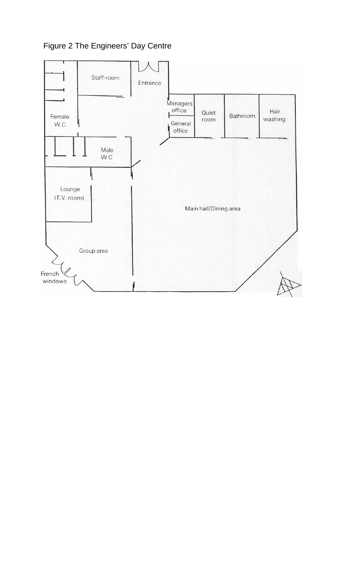

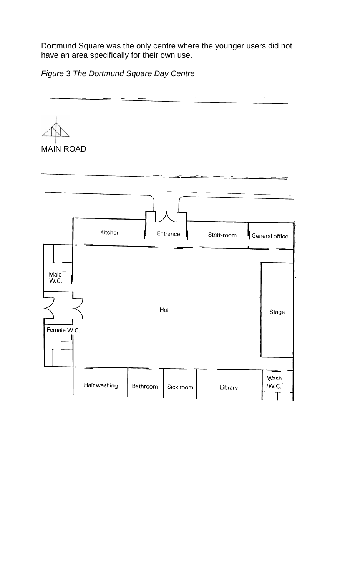Dortmund Square was the only centre where the younger users did not have an area specifically for their own use.

*Figure* 3 *The Dortmund Square Day Centre* 

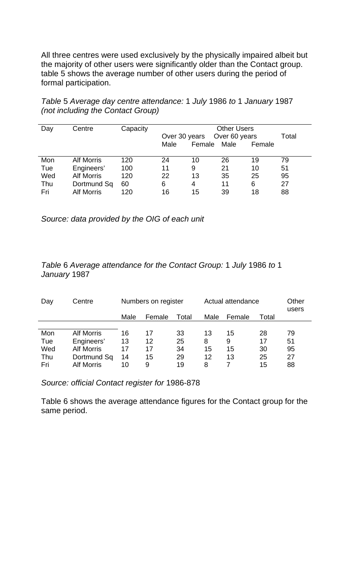All three centres were used exclusively by the physically impaired albeit but the majority of other users were significantly older than the Contact group. table 5 shows the average number of other users during the period of formal participation.

*Table* 5 *Average day centre attendance:* 1 *July* 1986 *to* 1 *January* 1987 *(not including the Contact Group)* 

| Day | Centre            | Capacity | <b>Other Users</b><br>Over 60 years<br>Total<br>Over 30 years |        |      |        |    |
|-----|-------------------|----------|---------------------------------------------------------------|--------|------|--------|----|
|     |                   |          | Male                                                          | Female | Male | Female |    |
| Mon | <b>Alf Morris</b> | 120      | 24                                                            | 10     | 26   | 19     | 79 |
| Tue | Engineers'        | 100      | 11                                                            | 9      | 21   | 10     | 51 |
| Wed | <b>Alf Morris</b> | 120      | 22                                                            | 13     | 35   | 25     | 95 |
| Thu | Dortmund Sq       | 60       | 6                                                             | 4      | 11   | 6      | 27 |
| Fri | <b>Alf Morris</b> | 120      | 16                                                            | 15     | 39   | 18     | 88 |

*Source: data provided by the OIG of each unit* 

### *Table* 6 *Average attendance for the Contact Group:* 1 *July* 1986 *to* 1 *January* 1987

| Day | Centre            | Numbers on register |        | Actual attendance |      |        | Other<br>users |    |
|-----|-------------------|---------------------|--------|-------------------|------|--------|----------------|----|
|     |                   | Male                | Female | Total             | Male | Female | Total          |    |
|     |                   |                     |        |                   |      |        |                |    |
| Mon | <b>Alf Morris</b> | 16                  | 17     | 33                | 13   | 15     | 28             | 79 |
| Tue | Engineers'        | 13                  | 12     | 25                | 8    | 9      | 17             | 51 |
| Wed | <b>Alf Morris</b> | 17                  | 17     | 34                | 15   | 15     | 30             | 95 |
| Thu | Dortmund Sq       | 14                  | 15     | 29                | 12   | 13     | 25             | 27 |
| Fri | <b>Alf Morris</b> | 10                  | 9      | 19                | 8    |        | 15             | 88 |

*Source: official Contact register for* 1986-878

Table 6 shows the average attendance figures for the Contact group for the same period.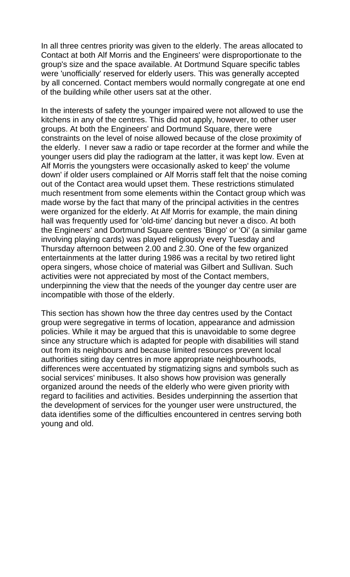In all three centres priority was given to the elderly. The areas allocated to Contact at both Alf Morris and the Engineers' were disproportionate to the group's size and the space available. At Dortmund Square specific tables were 'unofficially' reserved for elderly users. This was generally accepted by all concerned. Contact members would normally congregate at one end of the building while other users sat at the other.

In the interests of safety the younger impaired were not allowed to use the kitchens in any of the centres. This did not apply, however, to other user groups. At both the Engineers' and Dortmund Square, there were constraints on the level of noise allowed because of the close proximity of the elderly. I never saw a radio or tape recorder at the former and while the younger users did play the radiogram at the latter, it was kept low. Even at Alf Morris the youngsters were occasionally asked to keep' the volume down' if older users complained or Alf Morris staff felt that the noise coming out of the Contact area would upset them. These restrictions stimulated much resentment from some elements within the Contact group which was made worse by the fact that many of the principal activities in the centres were organized for the elderly. At Alf Morris for example, the main dining hall was frequently used for 'old-time' dancing but never a disco. At both the Engineers' and Dortmund Square centres 'Bingo' or 'Oi' (a similar game involving playing cards) was played religiously every Tuesday and Thursday afternoon between 2.00 and 2.30. One of the few organized entertainments at the latter during 1986 was a recital by two retired light opera singers, whose choice of material was Gilbert and Sullivan. Such activities were not appreciated by most of the Contact members, underpinning the view that the needs of the younger day centre user are incompatible with those of the elderly.

This section has shown how the three day centres used by the Contact group were segregative in terms of location, appearance and admission policies. While it may be argued that this is unavoidable to some degree since any structure which is adapted for people with disabilities will stand out from its neighbours and because limited resources prevent local authorities siting day centres in more appropriate neighbourhoods, differences were accentuated by stigmatizing signs and symbols such as social services' minibuses. It also shows how provision was generally organized around the needs of the elderly who were given priority with regard to facilities and activities. Besides underpinning the assertion that the development of services for the younger user were unstructured, the data identifies some of the difficulties encountered in centres serving both young and old.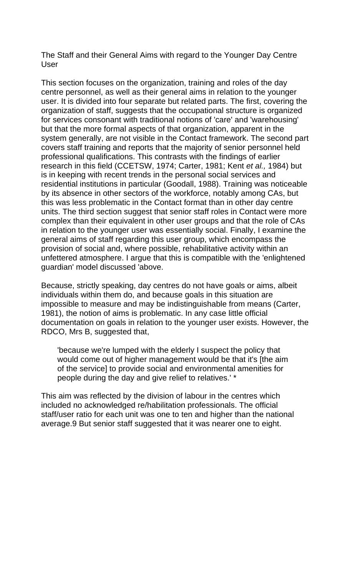The Staff and their General Aims with regard to the Younger Day Centre User

This section focuses on the organization, training and roles of the day centre personnel, as well as their general aims in relation to the younger user. It is divided into four separate but related parts. The first, covering the organization of staff, suggests that the occupational structure is organized for services consonant with traditional notions of 'care' and 'warehousing' but that the more formal aspects of that organization, apparent in the system generally, are not visible in the Contact framework. The second part covers staff training and reports that the majority of senior personnel held professional qualifications. This contrasts with the findings of earlier research in this field (CCETSW, 1974; Carter, 1981; Kent *et al.,* 1984) but is in keeping with recent trends in the personal social services and residential institutions in particular (Goodall, 1988). Training was noticeable by its absence in other sectors of the workforce, notably among CAs, but this was less problematic in the Contact format than in other day centre units. The third section suggest that senior staff roles in Contact were more complex than their equivalent in other user groups and that the role of CAs in relation to the younger user was essentially social. Finally, I examine the general aims of staff regarding this user group, which encompass the provision of social and, where possible, rehabilitative activity within an unfettered atmosphere. I argue that this is compatible with the 'enlightened guardian' model discussed 'above.

Because, strictly speaking, day centres do not have goals or aims, albeit individuals within them do, and because goals in this situation are impossible to measure and may be indistinguishable from means (Carter, 1981), the notion of aims is problematic. In any case little official documentation on goals in relation to the younger user exists. However, the RDCO, Mrs B, suggested that,

'because we're lumped with the elderly I suspect the policy that would come out of higher management would be that it's [the aim of the service] to provide social and environmental amenities for people during the day and give relief to relatives.' \*

This aim was reflected by the division of labour in the centres which included no acknowledged re/habilitation professionals. The official staff/user ratio for each unit was one to ten and higher than the national average.9 But senior staff suggested that it was nearer one to eight.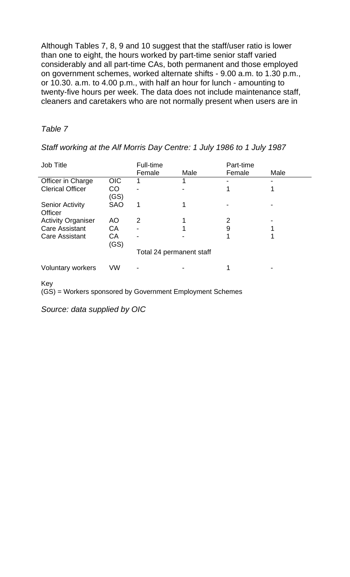Although Tables 7, 8, 9 and 10 suggest that the staff/user ratio is lower than one to eight, the hours worked by part-time senior staff varied considerably and all part-time CAs, both permanent and those employed on government schemes, worked alternate shifts - 9.00 a.m. to 1.30 p.m., or 10.30. a.m. to 4.00 p.m., with half an hour for lunch - amounting to twenty-five hours per week. The data does not include maintenance staff, cleaners and caretakers who are not normally present when users are in

### *Table 7*

*Staff working at the Alf Morris Day Centre: 1 July 1986 to 1 July 1987* 

| <b>Job Title</b>                             |                  | Full-time<br>Female      | Male | Part-time<br>Female | Male |
|----------------------------------------------|------------------|--------------------------|------|---------------------|------|
| Officer in Charge<br><b>Clerical Officer</b> | <b>OIC</b><br>CO | $\blacksquare$           |      |                     |      |
|                                              | (GS)             |                          |      |                     |      |
| <b>Senior Activity</b><br><b>Officer</b>     | <b>SAO</b>       | 1                        |      |                     |      |
| <b>Activity Organiser</b>                    | AO               | 2                        |      | 2                   |      |
| <b>Care Assistant</b>                        | CA               | $\overline{\phantom{0}}$ |      | 9                   |      |
| <b>Care Assistant</b>                        | CA<br>(GS)       |                          |      |                     |      |
|                                              |                  | Total 24 permanent staff |      |                     |      |
| <b>Voluntary workers</b>                     | VW               |                          |      |                     |      |

Key

(GS) = Workers sponsored by Government Employment Schemes

*Source: data supplied by OIC*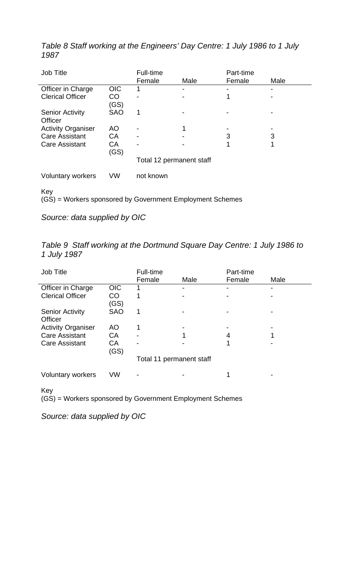*Table 8 Staff working at the Engineers' Day Centre: 1 July 1986 to 1 July 1987* 

| Job Title                 |            | Full-time                |      | Part-time |      |
|---------------------------|------------|--------------------------|------|-----------|------|
|                           |            | Female                   | Male | Female    | Male |
| Officer in Charge         | <b>OIC</b> |                          |      |           |      |
| <b>Clerical Officer</b>   | CO         | $\overline{\phantom{0}}$ |      |           |      |
|                           | (GS)       |                          |      |           |      |
| <b>Senior Activity</b>    | <b>SAO</b> | 1                        |      |           |      |
| <b>Officer</b>            |            |                          |      |           |      |
| <b>Activity Organiser</b> | <b>AO</b>  |                          |      |           |      |
| <b>Care Assistant</b>     | CA         |                          |      | 3         | 3    |
| <b>Care Assistant</b>     | CA         |                          |      | 1         |      |
|                           | (GS)       |                          |      |           |      |
|                           |            | Total 12 permanent staff |      |           |      |

Voluntary workers VW not known

Key

(GS) = Workers sponsored by Government Employment Schemes

*Source: data supplied by OIC* 

## *Table 9 Staff working at the Dortmund Square Day Centre: 1 July 1986 to 1 July 1987*

| Job Title                 |            | Full-time                |                | Part-time      |      |
|---------------------------|------------|--------------------------|----------------|----------------|------|
|                           |            | Female                   | Male           | Female         | Male |
| Officer in Charge         | <b>OIC</b> |                          | $\blacksquare$ | $\blacksquare$ |      |
| <b>Clerical Officer</b>   | CO         |                          |                |                |      |
|                           | (GS)       |                          |                |                |      |
| <b>Senior Activity</b>    | <b>SAO</b> |                          |                |                |      |
| Officer                   |            |                          |                |                |      |
| <b>Activity Organiser</b> | AO         |                          |                |                |      |
| <b>Care Assistant</b>     | CA         |                          |                |                |      |
| <b>Care Assistant</b>     | CA         |                          |                |                |      |
|                           | (GS)       |                          |                |                |      |
|                           |            | Total 11 permanent staff |                |                |      |
| <b>Voluntary workers</b>  | VW         |                          |                |                |      |

Key

(GS) = Workers sponsored by Government Employment Schemes

*Source: data supplied by OIC*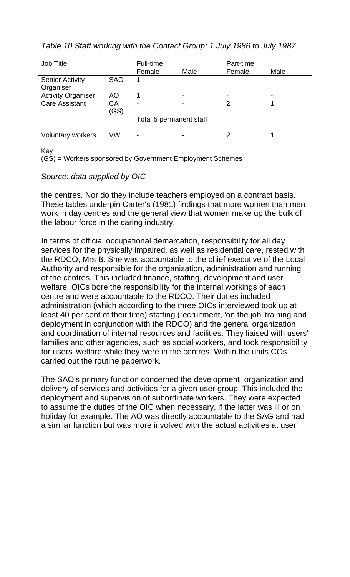| Job Title                           |            | Full-time<br>Female     | Male | Part-time<br>Female | Male |
|-------------------------------------|------------|-------------------------|------|---------------------|------|
| <b>Senior Activity</b><br>Organiser | <b>SAO</b> |                         | ۰    |                     |      |
| <b>Activity Organiser</b>           | AO         |                         |      |                     |      |
| <b>Care Assistant</b>               | CA<br>(GS) | $\blacksquare$          | ۰    | 2                   |      |
|                                     |            | Total 5 permanent staff |      |                     |      |
| <b>Voluntary workers</b>            | VW         |                         | ۰    | 2                   |      |

*Table 10 Staff working with the Contact Group: 1 July 1986 to July 1987* 

Key

(GS) = Workers sponsored by Government Employment Schemes

# *Source: data supplied by OIC*

the centres. Nor do they include teachers employed on a contract basis. These tables underpin Carter's (1981) findings that more women than men work in day centres and the general view that women make up the bulk of the labour force in the caring industry.

In terms of official occupational demarcation, responsibility for all day services for the physically impaired, as well as residential care, rested with the RDCO, Mrs B. She was accountable to the chief executive of the Local Authority and responsible for the organization, administration and running of the centres. This included finance, staffing, development and user welfare. OICs bore the responsibility for the internal workings of each centre and were accountable to the RDCO. Their duties included administration (which according to the three OICs interviewed took up at least 40 per cent of their time) staffing (recruitment, 'on the job' training and deployment in conjunction with the RDCO) and the general organization and coordination of internal resources and facilities. They liaised with users' families and other agencies, such as social workers, and took responsibility for users' welfare while they were in the centres. Within the units COs carried out the routine paperwork.

The SAO's primary function concerned the development, organization and delivery of services and activities for a given user group. This included the deployment and supervision of subordinate workers. They were expected to assume the duties of the OIC when necessary, if the latter was ill or on holiday for example. The AO was directly accountable to the SAG and had a similar function but was more involved with the actual activities at user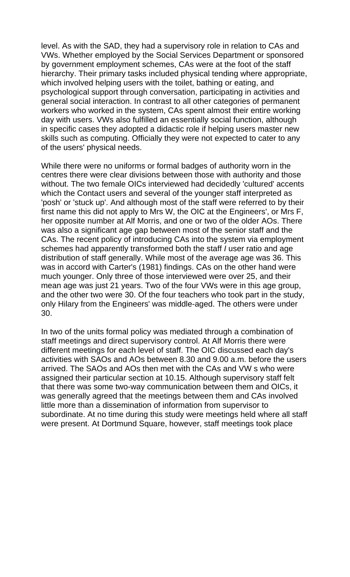level. As with the SAD, they had a supervisory role in relation to CAs and VWs. Whether employed by the Social Services Department or sponsored by government employment schemes, CAs were at the foot of the staff hierarchy. Their primary tasks included physical tending where appropriate, which involved helping users with the toilet, bathing or eating, and psychological support through conversation, participating in activities and general social interaction. In contrast to all other categories of permanent workers who worked in the system, CAs spent almost their entire working day with users. VWs also fulfilled an essentially social function, although in specific cases they adopted a didactic role if helping users master new skills such as computing. Officially they were not expected to cater to any of the users' physical needs.

While there were no uniforms or formal badges of authority worn in the centres there were clear divisions between those with authority and those without. The two female OICs interviewed had decidedly 'cultured' accents which the Contact users and several of the younger staff interpreted as 'posh' or 'stuck up'. And although most of the staff were referred to by their first name this did not apply to Mrs W, the OIC at the Engineers', or Mrs F, her opposite number at Alf Morris, and one or two of the older AOs. There was also a significant age gap between most of the senior staff and the CAs. The recent policy of introducing CAs into the system via employment schemes had apparently transformed both the staff *I* user ratio and age distribution of staff generally. While most of the average age was 36. This was in accord with Carter's (1981) findings. CAs on the other hand were much younger. Only three of those interviewed were over 25, and their mean age was just 21 years. Two of the four VWs were in this age group, and the other two were 30. Of the four teachers who took part in the study, only Hilary from the Engineers' was middle-aged. The others were under 30.

In two of the units formal policy was mediated through a combination of staff meetings and direct supervisory control. At Alf Morris there were different meetings for each level of staff. The OIC discussed each day's activities with SAOs and AOs between 8.30 and 9.00 a.m. before the users arrived. The SAOs and AOs then met with the CAs and VW s who were assigned their particular section at 10.15. Although supervisory staff felt that there was some two-way communication between them and OICs, it was generally agreed that the meetings between them and CAs involved little more than a dissemination of information from supervisor to subordinate. At no time during this study were meetings held where all staff were present. At Dortmund Square, however, staff meetings took place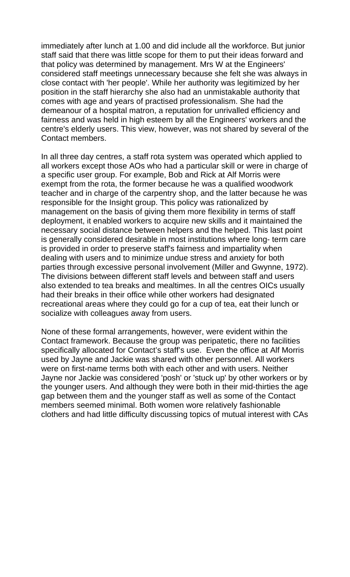immediately after lunch at 1.00 and did include all the workforce. But junior staff said that there was little scope for them to put their ideas forward and that policy was determined by management. Mrs W at the Engineers' considered staff meetings unnecessary because she felt she was always in close contact with 'her people'. While her authority was legitimized by her position in the staff hierarchy she also had an unmistakable authority that comes with age and years of practised professionalism. She had the demeanour of a hospital matron, a reputation for unrivalled efficiency and fairness and was held in high esteem by all the Engineers' workers and the centre's elderly users. This view, however, was not shared by several of the Contact members.

In all three day centres, a staff rota system was operated which applied to all workers except those AOs who had a particular skill or were in charge of a specific user group. For example, Bob and Rick at Alf Morris were exempt from the rota, the former because he was a qualified woodwork teacher and in charge of the carpentry shop, and the latter because he was responsible for the Insight group. This policy was rationalized by management on the basis of giving them more flexibility in terms of staff deployment, it enabled workers to acquire new skills and it maintained the necessary social distance between helpers and the helped. This last point is generally considered desirable in most institutions where long- term care is provided in order to preserve staff's fairness and impartiality when dealing with users and to minimize undue stress and anxiety for both parties through excessive personal involvement (Miller and Gwynne, 1972). The divisions between different staff levels and between staff and users also extended to tea breaks and mealtimes. In all the centres OICs usually had their breaks in their office while other workers had designated recreational areas where they could go for a cup of tea, eat their lunch or socialize with colleagues away from users.

None of these formal arrangements, however, were evident within the Contact framework. Because the group was peripatetic, there no facilities specifically allocated for Contact's staff's use. Even the office at Alf Morris used by Jayne and Jackie was shared with other personnel. All workers were on first-name terms both with each other and with users. Neither Jayne nor Jackie was considered 'posh' or 'stuck up' by other workers or by the younger users. And although they were both in their mid-thirties the age gap between them and the younger staff as well as some of the Contact members seemed minimal. Both women wore relatively fashionable clothers and had little difficulty discussing topics of mutual interest with CAs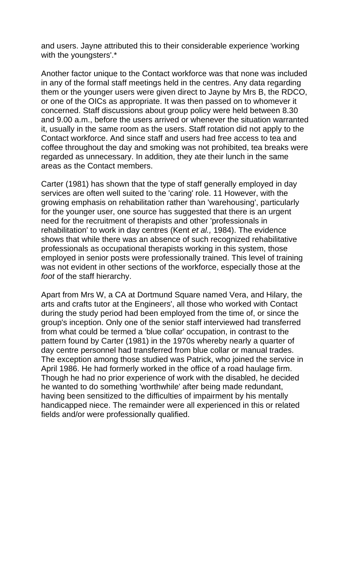and users. Jayne attributed this to their considerable experience 'working with the youngsters'.\*

Another factor unique to the Contact workforce was that none was included in any of the formal staff meetings held in the centres. Any data regarding them or the younger users were given direct to Jayne by Mrs B, the RDCO, or one of the OICs as appropriate. It was then passed on to whomever it concerned. Staff discussions about group policy were held between 8.30 and 9.00 a.m., before the users arrived or whenever the situation warranted it, usually in the same room as the users. Staff rotation did not apply to the Contact workforce. And since staff and users had free access to tea and coffee throughout the day and smoking was not prohibited, tea breaks were regarded as unnecessary. In addition, they ate their lunch in the same areas as the Contact members.

Carter (1981) has shown that the type of staff generally employed in day services are often well suited to the 'caring' role. 11 However, with the growing emphasis on rehabilitation rather than 'warehousing', particularly for the younger user, one source has suggested that there is an urgent need for the recruitment of therapists and other 'professionals in rehabilitation' to work in day centres (Kent *et al.,* 1984). The evidence shows that while there was an absence of such recognized rehabilitative professionals as occupational therapists working in this system, those employed in senior posts were professionally trained. This level of training was not evident in other sections of the workforce, especially those at the *foot* of the staff hierarchy.

Apart from Mrs W, a CA at Dortmund Square named Vera, and Hilary, the arts and crafts tutor at the Engineers', all those who worked with Contact during the study period had been employed from the time of, or since the group's inception. Only one of the senior staff interviewed had transferred from what could be termed a 'blue collar' occupation, in contrast to the pattern found by Carter (1981) in the 1970s whereby nearly a quarter of day centre personnel had transferred from blue collar or manual trades. The exception among those studied was Patrick, who joined the service in April 1986. He had formerly worked in the office of a road haulage firm. Though he had no prior experience of work with the disabled, he decided he wanted to do something 'worthwhile' after being made redundant, having been sensitized to the difficulties of impairment by his mentally handicapped niece. The remainder were all experienced in this or related fields and/or were professionally qualified.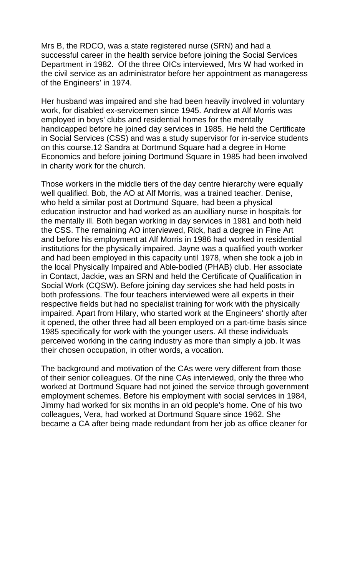Mrs B, the RDCO, was a state registered nurse (SRN) and had a successful career in the health service before joining the Social Services Department in 1982. Of the three OICs interviewed, Mrs W had worked in the civil service as an administrator before her appointment as manageress of the Engineers' in 1974.

Her husband was impaired and she had been heavily involved in voluntary work, for disabled ex-servicemen since 1945. Andrew at Alf Morris was employed in boys' clubs and residential homes for the mentally handicapped before he joined day services in 1985. He held the Certificate in Social Services (CSS) and was a study supervisor for in-service students on this course.12 Sandra at Dortmund Square had a degree in Home Economics and before joining Dortmund Square in 1985 had been involved in charity work for the church.

Those workers in the middle tiers of the day centre hierarchy were equally well qualified. Bob, the AO at Alf Morris, was a trained teacher. Denise, who held a similar post at Dortmund Square, had been a physical education instructor and had worked as an auxilliary nurse in hospitals for the mentally ill. Both began working in day services in 1981 and both held the CSS. The remaining AO interviewed, Rick, had a degree in Fine Art and before his employment at Alf Morris in 1986 had worked in residential institutions for the physically impaired. Jayne was a qualified youth worker and had been employed in this capacity until 1978, when she took a job in the local Physically Impaired and Able-bodied (PHAB) club. Her associate in Contact, Jackie, was an SRN and held the Certificate of Qualification in Social Work (CQSW). Before joining day services she had held posts in both professions. The four teachers interviewed were all experts in their respective fields but had no specialist training for work with the physically impaired. Apart from Hilary, who started work at the Engineers' shortly after it opened, the other three had all been employed on a part-time basis since 1985 specifically for work with the younger users. All these individuals perceived working in the caring industry as more than simply a job. It was their chosen occupation, in other words, a vocation.

The background and motivation of the CAs were very different from those of their senior colleagues. Of the nine CAs interviewed, only the three who worked at Dortmund Square had not joined the service through government employment schemes. Before his employment with social services in 1984, Jimmy had worked for six months in an old people's home. One of his two colleagues, Vera, had worked at Dortmund Square since 1962. She became a CA after being made redundant from her job as office cleaner for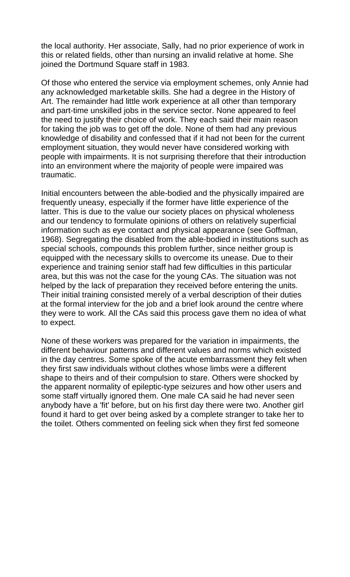the local authority. Her associate, Sally, had no prior experience of work in this or related fields, other than nursing an invalid relative at home. She joined the Dortmund Square staff in 1983.

Of those who entered the service via employment schemes, only Annie had any acknowledged marketable skills. She had a degree in the History of Art. The remainder had little work experience at all other than temporary and part-time unskilled jobs in the service sector. None appeared to feel the need to justify their choice of work. They each said their main reason for taking the job was to get off the dole. None of them had any previous knowledge of disability and confessed that if it had not been for the current employment situation, they would never have considered working with people with impairments. It is not surprising therefore that their introduction into an environment where the majority of people were impaired was traumatic.

Initial encounters between the able-bodied and the physically impaired are frequently uneasy, especially if the former have little experience of the latter. This is due to the value our society places on physical wholeness and our tendency to formulate opinions of others on relatively superficial information such as eye contact and physical appearance (see Goffman, 1968). Segregating the disabled from the able-bodied in institutions such as special schools, compounds this problem further, since neither group is equipped with the necessary skills to overcome its unease. Due to their experience and training senior staff had few difficulties in this particular area, but this was not the case for the young CAs. The situation was not helped by the lack of preparation they received before entering the units. Their initial training consisted merely of a verbal description of their duties at the formal interview for the job and a brief look around the centre where they were to work. All the CAs said this process gave them no idea of what to expect.

None of these workers was prepared for the variation in impairments, the different behaviour patterns and different values and norms which existed in the day centres. Some spoke of the acute embarrassment they felt when they first saw individuals without clothes whose limbs were a different shape to theirs and of their compulsion to stare. Others were shocked by the apparent normality of epileptic-type seizures and how other users and some staff virtually ignored them. One male CA said he had never seen anybody have a 'fit' before, but on his first day there were two. Another girl found it hard to get over being asked by a complete stranger to take her to the toilet. Others commented on feeling sick when they first fed someone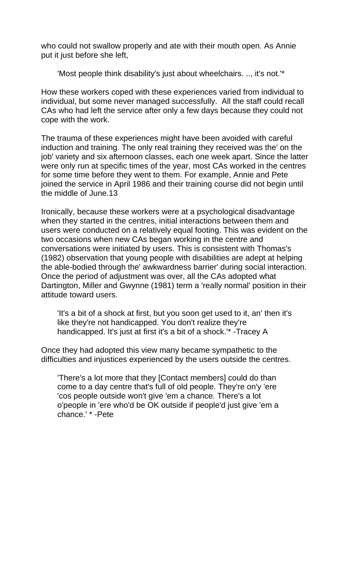who could not swallow properly and ate with their mouth open. As Annie put it just before she left,

'Most people think disability's just about wheelchairs. .., it's not.'\*

How these workers coped with these experiences varied from individual to individual, but some never managed successfully. All the staff could recall CAs who had left the service after only a few days because they could not cope with the work.

The trauma of these experiences might have been avoided with careful induction and training. The only real training they received was the' on the job' variety and six afternoon classes, each one week apart. Since the latter were only run at specific times of the year, most CAs worked in the centres for some time before they went to them. For example, Annie and Pete joined the service in April 1986 and their training course did not begin until the middle of June.13

Ironically, because these workers were at a psychological disadvantage when they started in the centres, initial interactions between them and users were conducted on a relatively equal footing. This was evident on the two occasions when new CAs began working in the centre and conversations were initiated by users. This is consistent with Thomas's (1982) observation that young people with disabilities are adept at helping the able-bodied through the' awkwardness barrier' during social interaction. Once the period of adjustment was over, all the CAs adopted what Dartington, Miller and Gwynne (1981) term a 'really normal' position in their attitude toward users.

'It's a bit of a shock at first, but you soon get used to it, an' then it's like they're not handicapped. You don't realize they're handicapped. It's just at first it's a bit of a shock.'\* -Tracey A

Once they had adopted this view many became sympathetic to the difficulties and injustices experienced by the users outside the centres.

'There's a lot more that they [Contact members] could do than come to a day centre that's full of old people. They're on'y 'ere 'cos people outside won't give 'em a chance. There's a lot o'people in 'ere who'd be OK outside if people'd just give 'em a chance.' \* -Pete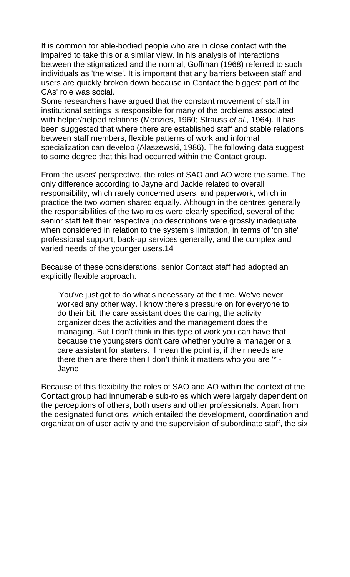It is common for able-bodied people who are in close contact with the impaired to take this or a similar view. In his analysis of interactions between the stigmatized and the normal, Goffman (1968) referred to such individuals as 'the wise'. It is important that any barriers between staff and users are quickly broken down because in Contact the biggest part of the CAs' role was social.

Some researchers have argued that the constant movement of staff in institutional settings is responsible for many of the problems associated with helper/helped relations (Menzies, 1960; Strauss *et al.,* 1964). It has been suggested that where there are established staff and stable relations between staff members, flexible patterns of work and informal specialization can develop (Alaszewski, 1986). The following data suggest to some degree that this had occurred within the Contact group.

From the users' perspective, the roles of SAO and AO were the same. The only difference according to Jayne and Jackie related to overall responsibility, which rarely concerned users, and paperwork, which in practice the two women shared equally. Although in the centres generally the responsibilities of the two roles were clearly specified, several of the senior staff felt their respective job descriptions were grossly inadequate when considered in relation to the system's limitation, in terms of 'on site' professional support, back-up services generally, and the complex and varied needs of the younger users.14

Because of these considerations, senior Contact staff had adopted an explicitly flexible approach.

'You've just got to do what's necessary at the time. We've never worked any other way. I know there's pressure on for everyone to do their bit, the care assistant does the caring, the activity organizer does the activities and the management does the managing. But I don't think in this type of work you can have that because the youngsters don't care whether you're a manager or a care assistant for starters. I mean the point is, if their needs are there then are there then I don't think it matters who you are '\* - Jayne

Because of this flexibility the roles of SAO and AO within the context of the Contact group had innumerable sub-roles which were largely dependent on the perceptions of others, both users and other professionals. Apart from the designated functions, which entailed the development, coordination and organization of user activity and the supervision of subordinate staff, the six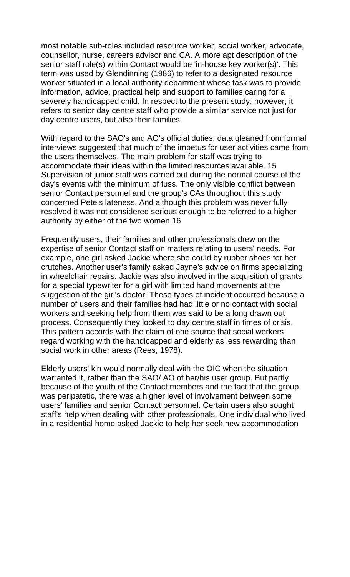most notable sub-roles included resource worker, social worker, advocate, counsellor, nurse, careers advisor and CA. A more apt description of the senior staff role(s) within Contact would be 'in-house key worker(s)'. This term was used by Glendinning (1986) to refer to a designated resource worker situated in a local authority department whose task was to provide information, advice, practical help and support to families caring for a severely handicapped child. In respect to the present study, however, it refers to senior day centre staff who provide a similar service not just for day centre users, but also their families.

With regard to the SAO's and AO's official duties, data gleaned from formal interviews suggested that much of the impetus for user activities came from the users themselves. The main problem for staff was trying to accommodate their ideas within the limited resources available. 15 Supervision of junior staff was carried out during the normal course of the day's events with the minimum of fuss. The only visible conflict between senior Contact personnel and the group's CAs throughout this study concerned Pete's lateness. And although this problem was never fully resolved it was not considered serious enough to be referred to a higher authority by either of the two women.16

Frequently users, their families and other professionals drew on the expertise of senior Contact staff on matters relating to users' needs. For example, one girl asked Jackie where she could by rubber shoes for her crutches. Another user's family asked Jayne's advice on firms specializing in wheelchair repairs. Jackie was also involved in the acquisition of grants for a special typewriter for a girl with limited hand movements at the suggestion of the girl's doctor. These types of incident occurred because a number of users and their families had had little or no contact with social workers and seeking help from them was said to be a long drawn out process. Consequently they looked to day centre staff in times of crisis. This pattern accords with the claim of one source that social workers regard working with the handicapped and elderly as less rewarding than social work in other areas (Rees, 1978).

Elderly users' kin would normally deal with the OIC when the situation warranted it, rather than the SAO/ AO of her/his user group. But partly because of the youth of the Contact members and the fact that the group was peripatetic, there was a higher level of involvement between some users' families and senior Contact personnel. Certain users also sought staff's help when dealing with other professionals. One individual who lived in a residential home asked Jackie to help her seek new accommodation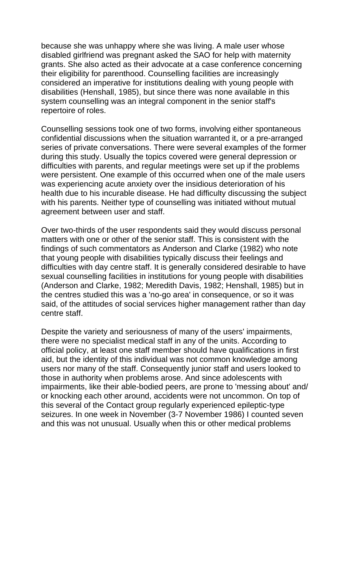because she was unhappy where she was living. A male user whose disabled girlfriend was pregnant asked the SAO for help with maternity grants. She also acted as their advocate at a case conference concerning their eligibility for parenthood. Counselling facilities are increasingly considered an imperative for institutions dealing with young people with disabilities (Henshall, 1985), but since there was none available in this system counselling was an integral component in the senior staff's repertoire of roles.

Counselling sessions took one of two forms, involving either spontaneous confidential discussions when the situation warranted it, or a pre-arranged series of private conversations. There were several examples of the former during this study. Usually the topics covered were general depression or difficulties with parents, and regular meetings were set up if the problems were persistent. One example of this occurred when one of the male users was experiencing acute anxiety over the insidious deterioration of his health due to his incurable disease. He had difficulty discussing the subject with his parents. Neither type of counselling was initiated without mutual agreement between user and staff.

Over two-thirds of the user respondents said they would discuss personal matters with one or other of the senior staff. This is consistent with the findings of such commentators as Anderson and Clarke (1982) who note that young people with disabilities typically discuss their feelings and difficulties with day centre staff. It is generally considered desirable to have sexual counselling facilities in institutions for young people with disabilities (Anderson and Clarke, 1982; Meredith Davis, 1982; Henshall, 1985) but in the centres studied this was a 'no-go area' in consequence, or so it was said, of the attitudes of social services higher management rather than day centre staff.

Despite the variety and seriousness of many of the users' impairments, there were no specialist medical staff in any of the units. According to official policy, at least one staff member should have qualifications in first aid, but the identity of this individual was not common knowledge among users nor many of the staff. Consequently junior staff and users looked to those in authority when problems arose. And since adolescents with impairments, like their able-bodied peers, are prone to 'messing about' and/ or knocking each other around, accidents were not uncommon. On top of this several of the Contact group regularly experienced epileptic-type seizures. In one week in November (3-7 November 1986) I counted seven and this was not unusual. Usually when this or other medical problems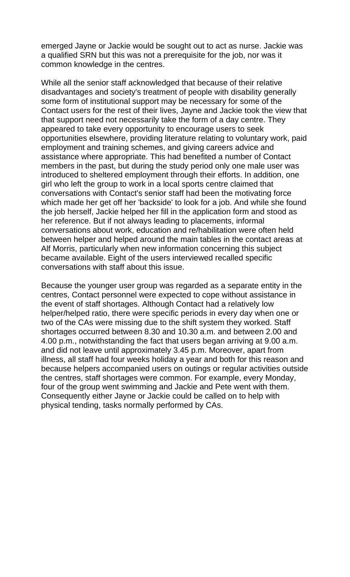emerged Jayne or Jackie would be sought out to act as nurse. Jackie was a qualified SRN but this was not a prerequisite for the job, nor was it common knowledge in the centres.

While all the senior staff acknowledged that because of their relative disadvantages and society's treatment of people with disability generally some form of institutional support may be necessary for some of the Contact users for the rest of their lives, Jayne and Jackie took the view that that support need not necessarily take the form of a day centre. They appeared to take every opportunity to encourage users to seek opportunities elsewhere, providing literature relating to voluntary work, paid employment and training schemes, and giving careers advice and assistance where appropriate. This had benefited a number of Contact members in the past, but during the study period only one male user was introduced to sheltered employment through their efforts. In addition, one girl who left the group to work in a local sports centre claimed that conversations with Contact's senior staff had been the motivating force which made her get off her 'backside' to look for a job. And while she found the job herself, Jackie helped her fill in the application form and stood as her reference. But if not always leading to placements, informal conversations about work, education and re/habilitation were often held between helper and helped around the main tables in the contact areas at Alf Morris, particularly when new information concerning this subject became available. Eight of the users interviewed recalled specific conversations with staff about this issue.

Because the younger user group was regarded as a separate entity in the centres, Contact personnel were expected to cope without assistance in the event of staff shortages. Although Contact had a relatively low helper/helped ratio, there were specific periods in every day when one or two of the CAs were missing due to the shift system they worked. Staff shortages occurred between 8.30 and 10.30 a.m. and between 2.00 and 4.00 p.m., notwithstanding the fact that users began arriving at 9.00 a.m. and did not leave until approximately 3.45 p.m. Moreover, apart from illness, all staff had four weeks holiday a year and both for this reason and because helpers accompanied users on outings or regular activities outside the centres, staff shortages were common. For example, every Monday, four of the group went swimming and Jackie and Pete went with them. Consequently either Jayne or Jackie could be called on to help with physical tending, tasks normally performed by CAs.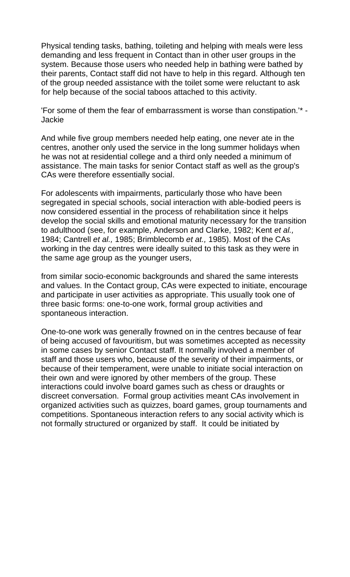Physical tending tasks, bathing, toileting and helping with meals were less demanding and less frequent in Contact than in other user groups in the system. Because those users who needed help in bathing were bathed by their parents, Contact staff did not have to help in this regard. Although ten of the group needed assistance with the toilet some were reluctant to ask for help because of the social taboos attached to this activity.

'For some of them the fear of embarrassment is worse than constipation.'\* - Jackie

And while five group members needed help eating, one never ate in the centres, another only used the service in the long summer holidays when he was not at residential college and a third only needed a minimum of assistance. The main tasks for senior Contact staff as well as the group's CAs were therefore essentially social.

For adolescents with impairments, particularly those who have been segregated in special schools, social interaction with able-bodied peers is now considered essential in the process of rehabilitation since it helps develop the social skills and emotional maturity necessary for the transition to adulthood (see, for example, Anderson and Clarke, 1982; Kent *et al.,*  1984; Cantrell *et al.,* 1985; Brimblecomb *et at.,* 1985). Most of the CAs working in the day centres were ideally suited to this task as they were in the same age group as the younger users,

from similar socio-economic backgrounds and shared the same interests and values. In the Contact group, CAs were expected to initiate, encourage and participate in user activities as appropriate. This usually took one of three basic forms: one-to-one work, formal group activities and spontaneous interaction.

One-to-one work was generally frowned on in the centres because of fear of being accused of favouritism, but was sometimes accepted as necessity in some cases by senior Contact staff. It normally involved a member of staff and those users who, because of the severity of their impairments, or because of their temperament, were unable to initiate social interaction on their own and were ignored by other members of the group. These interactions could involve board games such as chess or draughts or discreet conversation. Formal group activities meant CAs involvement in organized activities such as quizzes, board games, group tournaments and competitions. Spontaneous interaction refers to any social activity which is not formally structured or organized by staff. It could be initiated by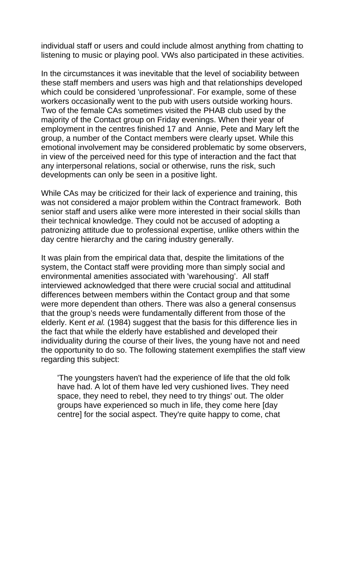individual staff or users and could include almost anything from chatting to listening to music or playing pool. VWs also participated in these activities.

In the circumstances it was inevitable that the level of sociability between these staff members and users was high and that relationships developed which could be considered 'unprofessional'. For example, some of these workers occasionally went to the pub with users outside working hours. Two of the female CAs sometimes visited the PHAB club used by the majority of the Contact group on Friday evenings. When their year of employment in the centres finished 17 and Annie, Pete and Mary left the group, a number of the Contact members were clearly upset. While this emotional involvement may be considered problematic by some observers, in view of the perceived need for this type of interaction and the fact that any interpersonal relations, social or otherwise, runs the risk, such developments can only be seen in a positive light.

While CAs may be criticized for their lack of experience and training, this was not considered a major problem within the Contract framework. Both senior staff and users alike were more interested in their social skills than their technical knowledge. They could not be accused of adopting a patronizing attitude due to professional expertise, unlike others within the day centre hierarchy and the caring industry generally.

It was plain from the empirical data that, despite the limitations of the system, the Contact staff were providing more than simply social and environmental amenities associated with 'warehousing'. All staff interviewed acknowledged that there were crucial social and attitudinal differences between members within the Contact group and that some were more dependent than others. There was also a general consensus that the group's needs were fundamentally different from those of the elderly. Kent *et al.* (1984) suggest that the basis for this difference lies in the fact that while the elderly have established and developed their individuality during the course of their lives, the young have not and need the opportunity to do so. The following statement exemplifies the staff view regarding this subject:

'The youngsters haven't had the experience of life that the old folk have had. A lot of them have led very cushioned lives. They need space, they need to rebel, they need to try things' out. The older groups have experienced so much in life, they come here [day centre] for the social aspect. They're quite happy to come, chat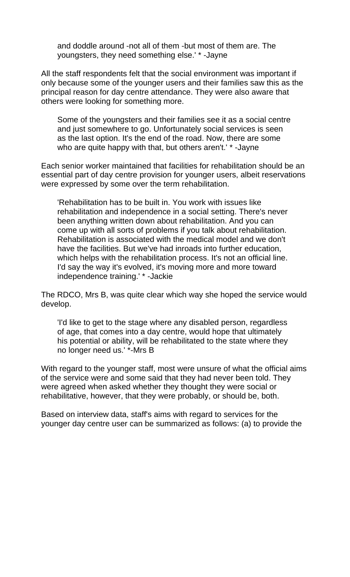and doddle around -not all of them -but most of them are. The youngsters, they need something else.' \* -Jayne

All the staff respondents felt that the social environment was important if only because some of the younger users and their families saw this as the principal reason for day centre attendance. They were also aware that others were looking for something more.

Some of the youngsters and their families see it as a social centre and just somewhere to go. Unfortunately social services is seen as the last option. It's the end of the road. Now, there are some who are quite happy with that, but others aren't.' \* -Jayne

Each senior worker maintained that facilities for rehabilitation should be an essential part of day centre provision for younger users, albeit reservations were expressed by some over the term rehabilitation.

'Rehabilitation has to be built in. You work with issues like rehabilitation and independence in a social setting. There's never been anything written down about rehabilitation. And you can come up with all sorts of problems if you talk about rehabilitation. Rehabilitation is associated with the medical model and we don't have the facilities. But we've had inroads into further education, which helps with the rehabilitation process. It's not an official line. I'd say the way it's evolved, it's moving more and more toward independence training.' \* -Jackie

The RDCO, Mrs B, was quite clear which way she hoped the service would develop.

'I'd like to get to the stage where any disabled person, regardless of age, that comes into a day centre, would hope that ultimately his potential or ability, will be rehabilitated to the state where they no longer need us.' \*-Mrs B

With regard to the younger staff, most were unsure of what the official aims of the service were and some said that they had never been told. They were agreed when asked whether they thought they were social or rehabilitative, however, that they were probably, or should be, both.

Based on interview data, staff's aims with regard to services for the younger day centre user can be summarized as follows: (a) to provide the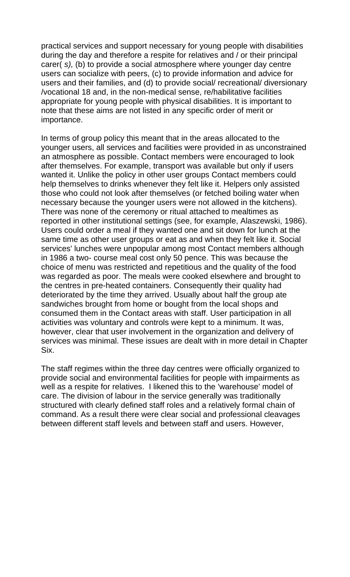practical services and support necessary for young people with disabilities during the day and therefore a respite for relatives and / or their principal carer( *s),* (b) to provide a social atmosphere where younger day centre users can socialize with peers, (c) to provide information and advice for users and their families, and (d) to provide social/ recreational/ diversionary /vocational 18 and, in the non-medical sense, re/habilitative facilities appropriate for young people with physical disabilities. It is important to note that these aims are not listed in any specific order of merit or importance.

In terms of group policy this meant that in the areas allocated to the younger users, all services and facilities were provided in as unconstrained an atmosphere as possible. Contact members were encouraged to look after themselves. For example, transport was available but only if users wanted it. Unlike the policy in other user groups Contact members could help themselves to drinks whenever they felt like it. Helpers only assisted those who could not look after themselves (or fetched boiling water when necessary because the younger users were not allowed in the kitchens). There was none of the ceremony or ritual attached to mealtimes as reported in other institutional settings (see, for example, Alaszewski, 1986). Users could order a meal if they wanted one and sit down for lunch at the same time as other user groups or eat as and when they felt like it. Social services' lunches were unpopular among most Contact members although in 1986 a two- course meal cost only 50 pence. This was because the choice of menu was restricted and repetitious and the quality of the food was regarded as poor. The meals were cooked elsewhere and brought to the centres in pre-heated containers. Consequently their quality had deteriorated by the time they arrived. Usually about half the group ate sandwiches brought from home or bought from the local shops and consumed them in the Contact areas with staff. User participation in all activities was voluntary and controls were kept to a minimum. It was, however, clear that user involvement in the organization and delivery of services was minimal. These issues are dealt with in more detail in Chapter Six.

The staff regimes within the three day centres were officially organized to provide social and environmental facilities for people with impairments as well as a respite for relatives. I likened this to the 'warehouse' model of care. The division of labour in the service generally was traditionally structured with clearly defined staff roles and a relatively formal chain of command. As a result there were clear social and professional cleavages between different staff levels and between staff and users. However,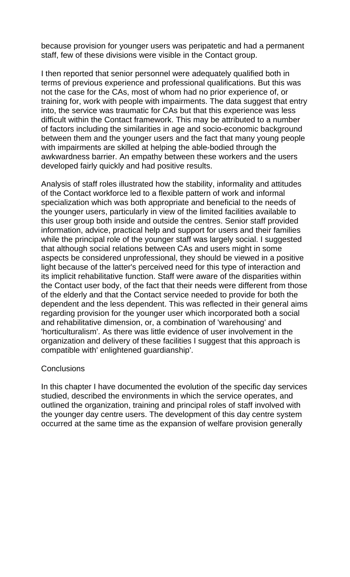because provision for younger users was peripatetic and had a permanent staff, few of these divisions were visible in the Contact group.

I then reported that senior personnel were adequately qualified both in terms of previous experience and professional qualifications. But this was not the case for the CAs, most of whom had no prior experience of, or training for, work with people with impairments. The data suggest that entry into, the service was traumatic for CAs but that this experience was less difficult within the Contact framework. This may be attributed to a number of factors including the similarities in age and socio-economic background between them and the younger users and the fact that many young people with impairments are skilled at helping the able-bodied through the awkwardness barrier. An empathy between these workers and the users developed fairly quickly and had positive results.

Analysis of staff roles illustrated how the stability, informality and attitudes of the Contact workforce led to a flexible pattern of work and informal specialization which was both appropriate and beneficial to the needs of the younger users, particularly in view of the limited facilities available to this user group both inside and outside the centres. Senior staff provided information, advice, practical help and support for users and their families while the principal role of the younger staff was largely social. I suggested that although social relations between CAs and users might in some aspects be considered unprofessional, they should be viewed in a positive light because of the latter's perceived need for this type of interaction and its implicit rehabilitative function. Staff were aware of the disparities within the Contact user body, of the fact that their needs were different from those of the elderly and that the Contact service needed to provide for both the dependent and the less dependent. This was reflected in their general aims regarding provision for the younger user which incorporated both a social and rehabilitative dimension, or, a combination of 'warehousing' and 'horticulturalism'. As there was little evidence of user involvement in the organization and delivery of these facilities I suggest that this approach is compatible with' enlightened guardianship'.

#### **Conclusions**

In this chapter I have documented the evolution of the specific day services studied, described the environments in which the service operates, and outlined the organization, training and principal roles of staff involved with the younger day centre users. The development of this day centre system occurred at the same time as the expansion of welfare provision generally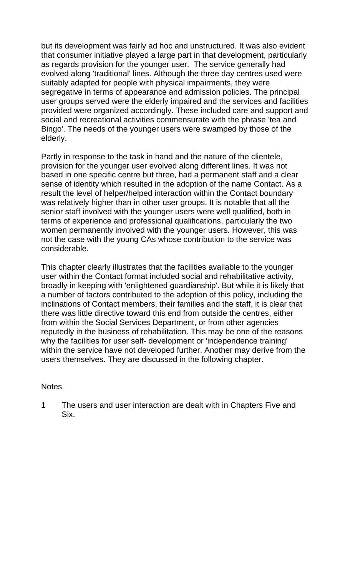but its development was fairly ad hoc and unstructured. It was also evident that consumer initiative played a large part in that development, particularly as regards provision for the younger user. The service generally had evolved along 'traditional' lines. Although the three day centres used were suitably adapted for people with physical impairments, they were segregative in terms of appearance and admission policies. The principal user groups served were the elderly impaired and the services and facilities provided were organized accordingly. These included care and support and social and recreational activities commensurate with the phrase 'tea and Bingo'. The needs of the younger users were swamped by those of the elderly.

Partly in response to the task in hand and the nature of the clientele, provision for the younger user evolved along different lines. It was not based in one specific centre but three, had a permanent staff and a clear sense of identity which resulted in the adoption of the name Contact. As a result the level of helper/helped interaction within the Contact boundary was relatively higher than in other user groups. It is notable that all the senior staff involved with the younger users were well qualified, both in terms of experience and professional qualifications, particularly the two women permanently involved with the younger users. However, this was not the case with the young CAs whose contribution to the service was considerable.

This chapter clearly illustrates that the facilities available to the younger user within the Contact format included social and rehabilitative activity, broadly in keeping with 'enlightened guardianship'. But while it is likely that a number of factors contributed to the adoption of this policy, including the inclinations of Contact members, their families and the staff, it is clear that there was little directive toward this end from outside the centres, either from within the Social Services Department, or from other agencies reputedly in the business of rehabilitation. This may be one of the reasons why the facilities for user self- development or 'independence training' within the service have not developed further. Another may derive from the users themselves. They are discussed in the following chapter.

#### **Notes**

1 The users and user interaction are dealt with in Chapters Five and Six.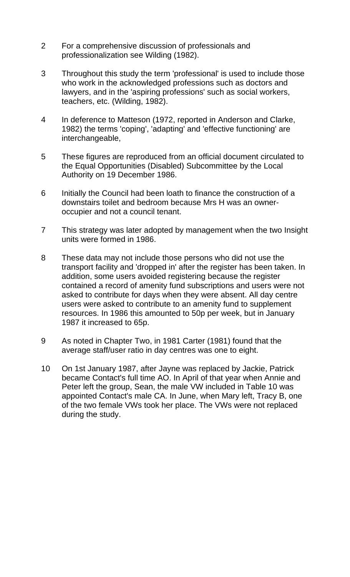- 2 For a comprehensive discussion of professionals and professionalization see Wilding (1982).
- 3 Throughout this study the term 'professional' is used to include those who work in the acknowledged professions such as doctors and lawyers, and in the 'aspiring professions' such as social workers, teachers, etc. (Wilding, 1982).
- 4 In deference to Matteson (1972, reported in Anderson and Clarke, 1982) the terms 'coping', 'adapting' and 'effective functioning' are interchangeable,
- 5 These figures are reproduced from an official document circulated to the Equal Opportunities (Disabled) Subcommittee by the Local Authority on 19 December 1986.
- 6 Initially the Council had been loath to finance the construction of a downstairs toilet and bedroom because Mrs H was an owneroccupier and not a council tenant.
- 7 This strategy was later adopted by management when the two Insight units were formed in 1986.
- 8 These data may not include those persons who did not use the transport facility and 'dropped in' after the register has been taken. In addition, some users avoided registering because the register contained a record of amenity fund subscriptions and users were not asked to contribute for days when they were absent. All day centre users were asked to contribute to an amenity fund to supplement resources. In 1986 this amounted to 50p per week, but in January 1987 it increased to 65p.
- 9 As noted in Chapter Two, in 1981 Carter (1981) found that the average staff/user ratio in day centres was one to eight.
- 10 On 1st January 1987, after Jayne was replaced by Jackie, Patrick became Contact's full time AO. In April of that year when Annie and Peter left the group, Sean, the male VW included in Table 10 was appointed Contact's male CA. In June, when Mary left, Tracy B, one of the two female VWs took her place. The VWs were not replaced during the study.